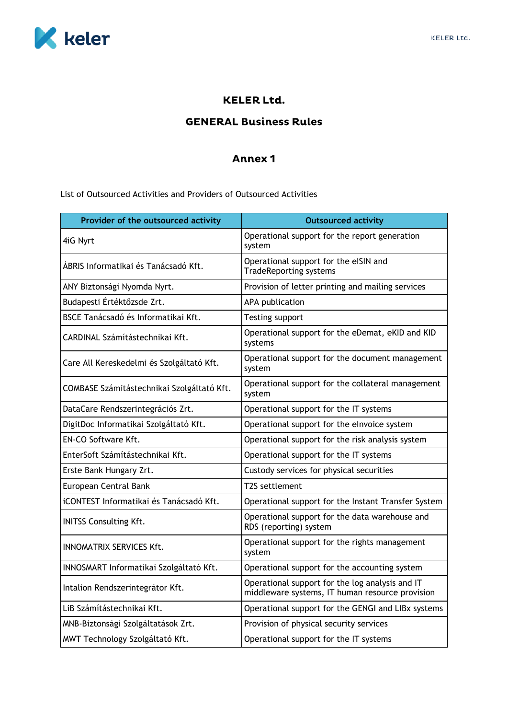

## **KELER Ltd.**

## **GENERAL Business Rules**

## **Annex 1**

List of Outsourced Activities and Providers of Outsourced Activities

| Provider of the outsourced activity        | <b>Outsourced activity</b>                                                                         |
|--------------------------------------------|----------------------------------------------------------------------------------------------------|
| 4iG Nyrt                                   | Operational support for the report generation<br>system                                            |
| ÁBRIS Informatikai és Tanácsadó Kft.       | Operational support for the eISIN and<br><b>TradeReporting systems</b>                             |
| ANY Biztonsági Nyomda Nyrt.                | Provision of letter printing and mailing services                                                  |
| Budapesti Értéktőzsde Zrt.                 | APA publication                                                                                    |
| BSCE Tanácsadó és Informatikai Kft.        | Testing support                                                                                    |
| CARDINAL Számítástechnikai Kft.            | Operational support for the eDemat, eKID and KID<br>systems                                        |
| Care All Kereskedelmi és Szolgáltató Kft.  | Operational support for the document management<br>system                                          |
| COMBASE Számitástechnikai Szolgáltató Kft. | Operational support for the collateral management<br>system                                        |
| DataCare Rendszerintegrációs Zrt.          | Operational support for the IT systems                                                             |
| DigitDoc Informatikai Szolgáltató Kft.     | Operational support for the elnvoice system                                                        |
| EN-CO Software Kft.                        | Operational support for the risk analysis system                                                   |
| EnterSoft Számítástechnikai Kft.           | Operational support for the IT systems                                                             |
| Erste Bank Hungary Zrt.                    | Custody services for physical securities                                                           |
| European Central Bank                      | T2S settlement                                                                                     |
| iCONTEST Informatikai és Tanácsadó Kft.    | Operational support for the Instant Transfer System                                                |
| <b>INITSS Consulting Kft.</b>              | Operational support for the data warehouse and<br>RDS (reporting) system                           |
| <b>INNOMATRIX SERVICES Kft.</b>            | Operational support for the rights management<br>system                                            |
| INNOSMART Informatikai Szolgáltató Kft.    | Operational support for the accounting system                                                      |
| Intalion Rendszerintegrátor Kft.           | Operational support for the log analysis and IT<br>middleware systems, IT human resource provision |
| LiB Számítástechnikai Kft.                 | Operational support for the GENGI and LIBx systems                                                 |
| MNB-Biztonsági Szolgáltatások Zrt.         | Provision of physical security services                                                            |
| MWT Technology Szolgáltató Kft.            | Operational support for the IT systems                                                             |